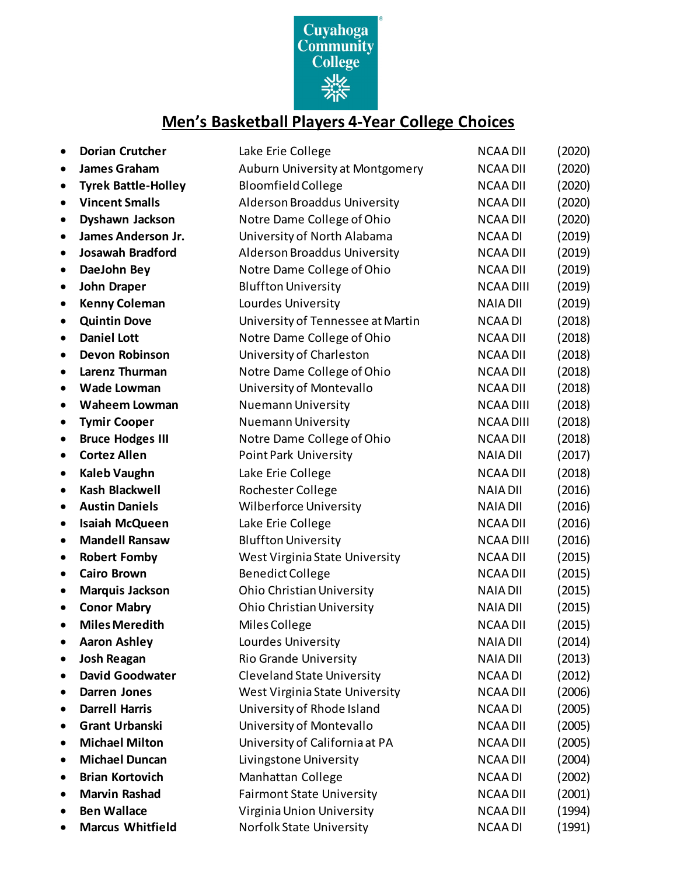

## **Men's Basketball Players 4-Year College Choices**

| $\bullet$ | <b>Dorian Crutcher</b>     | Lake Erie College                   | <b>NCAA DII</b>  | (2020) |
|-----------|----------------------------|-------------------------------------|------------------|--------|
| $\bullet$ | <b>James Graham</b>        | Auburn University at Montgomery     | <b>NCAA DII</b>  | (2020) |
| $\bullet$ | <b>Tyrek Battle-Holley</b> | <b>Bloomfield College</b>           | <b>NCAA DII</b>  | (2020) |
| $\bullet$ | <b>Vincent Smalls</b>      | Alderson Broaddus University        | <b>NCAA DII</b>  | (2020) |
| $\bullet$ | Dyshawn Jackson            | Notre Dame College of Ohio          | <b>NCAA DII</b>  | (2020) |
| $\bullet$ | <b>James Anderson Jr.</b>  | University of North Alabama         | <b>NCAA DI</b>   | (2019) |
| $\bullet$ | <b>Josawah Bradford</b>    | <b>Alderson Broaddus University</b> | <b>NCAA DII</b>  | (2019) |
| $\bullet$ | DaeJohn Bey                | Notre Dame College of Ohio          | <b>NCAA DII</b>  | (2019) |
| $\bullet$ | <b>John Draper</b>         | <b>Bluffton University</b>          | <b>NCAA DIII</b> | (2019) |
| $\bullet$ | <b>Kenny Coleman</b>       | Lourdes University                  | <b>NAIA DII</b>  | (2019) |
| $\bullet$ | <b>Quintin Dove</b>        | University of Tennessee at Martin   | <b>NCAA DI</b>   | (2018) |
| $\bullet$ | <b>Daniel Lott</b>         | Notre Dame College of Ohio          | <b>NCAA DII</b>  | (2018) |
| $\bullet$ | <b>Devon Robinson</b>      | University of Charleston            | <b>NCAA DII</b>  | (2018) |
| $\bullet$ | Larenz Thurman             | Notre Dame College of Ohio          | <b>NCAA DII</b>  | (2018) |
| $\bullet$ | <b>Wade Lowman</b>         | University of Montevallo            | <b>NCAA DII</b>  | (2018) |
| $\bullet$ | <b>Waheem Lowman</b>       | Nuemann University                  | <b>NCAA DIII</b> | (2018) |
| $\bullet$ | <b>Tymir Cooper</b>        | <b>Nuemann University</b>           | <b>NCAA DIII</b> | (2018) |
| $\bullet$ | <b>Bruce Hodges III</b>    | Notre Dame College of Ohio          | <b>NCAA DII</b>  | (2018) |
| $\bullet$ | <b>Cortez Allen</b>        | Point Park University               | <b>NAIA DII</b>  | (2017) |
| $\bullet$ | <b>Kaleb Vaughn</b>        | Lake Erie College                   | <b>NCAA DII</b>  | (2018) |
| $\bullet$ | <b>Kash Blackwell</b>      | Rochester College                   | <b>NAIA DII</b>  | (2016) |
| $\bullet$ | <b>Austin Daniels</b>      | <b>Wilberforce University</b>       | <b>NAIA DII</b>  | (2016) |
| $\bullet$ | <b>Isaiah McQueen</b>      | Lake Erie College                   | <b>NCAA DII</b>  | (2016) |
| $\bullet$ | <b>Mandell Ransaw</b>      | <b>Bluffton University</b>          | <b>NCAA DIII</b> | (2016) |
| $\bullet$ | <b>Robert Fomby</b>        | West Virginia State University      | <b>NCAA DII</b>  | (2015) |
| $\bullet$ | <b>Cairo Brown</b>         | <b>Benedict College</b>             | <b>NCAA DII</b>  | (2015) |
| $\bullet$ | <b>Marquis Jackson</b>     | <b>Ohio Christian University</b>    | <b>NAIA DII</b>  | (2015) |
| $\bullet$ | <b>Conor Mabry</b>         | <b>Ohio Christian University</b>    | <b>NAIA DII</b>  | (2015) |
| $\bullet$ | <b>Miles Meredith</b>      | Miles College                       | <b>NCAA DII</b>  | (2015) |
|           | <b>Aaron Ashley</b>        | Lourdes University                  | <b>NAIA DII</b>  | (2014) |
| $\bullet$ | <b>Josh Reagan</b>         | Rio Grande University               | <b>NAIA DII</b>  | (2013) |
| $\bullet$ | <b>David Goodwater</b>     | <b>Cleveland State University</b>   | <b>NCAA DI</b>   | (2012) |
| $\bullet$ | <b>Darren Jones</b>        | West Virginia State University      | <b>NCAA DII</b>  | (2006) |
| $\bullet$ | <b>Darrell Harris</b>      | University of Rhode Island          | <b>NCAA DI</b>   | (2005) |
| ٠         | <b>Grant Urbanski</b>      | University of Montevallo            | <b>NCAA DII</b>  | (2005) |
| ٠         | <b>Michael Milton</b>      | University of California at PA      | <b>NCAA DII</b>  | (2005) |
| ٠         | <b>Michael Duncan</b>      | Livingstone University              | <b>NCAA DII</b>  | (2004) |
| $\bullet$ | <b>Brian Kortovich</b>     | Manhattan College                   | <b>NCAADI</b>    | (2002) |
|           | <b>Marvin Rashad</b>       | <b>Fairmont State University</b>    | <b>NCAA DII</b>  | (2001) |
|           | <b>Ben Wallace</b>         | Virginia Union University           | <b>NCAA DII</b>  | (1994) |
|           | <b>Marcus Whitfield</b>    | Norfolk State University            | <b>NCAA DI</b>   | (1991) |